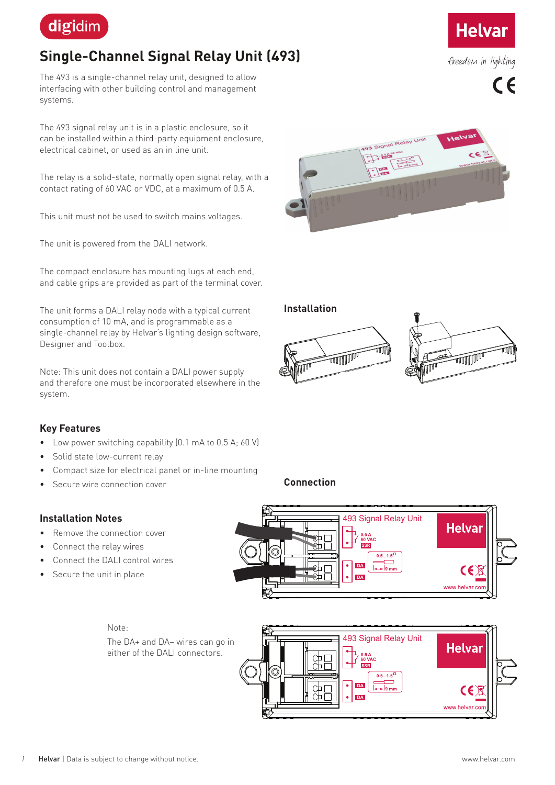

# **Single-Channel Signal Relay Unit (493)**

The 493 is a single-channel relay unit, designed to allow interfacing with other building control and management systems.

The 493 signal relay unit is in a plastic enclosure, so it can be installed within a third-party equipment enclosure, electrical cabinet, or used as an in line unit.

The relay is a solid-state, normally open signal relay, with a contact rating of 60 VAC or VDC, at a maximum of 0.5 A.

This unit must not be used to switch mains voltages.

The unit is powered from the DALI network.

The compact enclosure has mounting lugs at each end, and cable grips are provided as part of the terminal cover.

The unit forms a DALI relay node with a typical current consumption of 10 mA, and is programmable as a single-channel relay by Helvar's lighting design software, Designer and Toolbox.

Note: This unit does not contain a DALI power supply and therefore one must be incorporated elsewhere in the system.



- Low power switching capability (0.1 mA to 0.5 A; 60 V)
- Solid state low-current relay
- Compact size for electrical panel or in-line mounting
- Secure wire connection cover

## **Installation Notes**

- Remove the connection cover
- Connect the relay wires
- Connect the DALI control wires
- Secure the unit in place

Note: The DA+ and DA– wires can go in either of the DALI connectors.





**Connection**







freedom in lighting